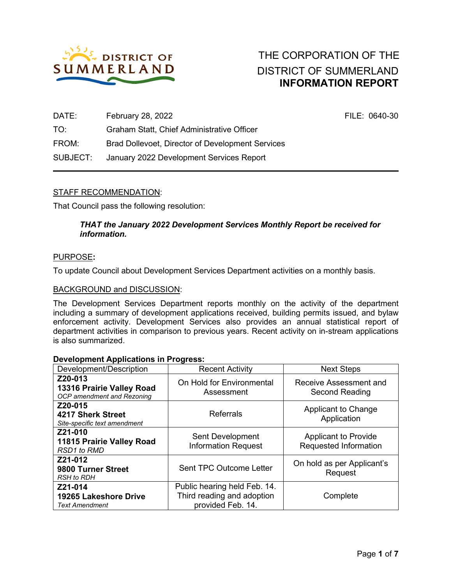

| DATE:    | February 28, 2022                                | FILE: 0640-30 |
|----------|--------------------------------------------------|---------------|
| TO:      | Graham Statt, Chief Administrative Officer       |               |
| FROM:    | Brad Dollevoet, Director of Development Services |               |
| SUBJECT: | January 2022 Development Services Report         |               |

# STAFF RECOMMENDATION:

That Council pass the following resolution:

## *THAT the January 2022 Development Services Monthly Report be received for information.*

#### PURPOSE**:**

To update Council about Development Services Department activities on a monthly basis.

#### BACKGROUND and DISCUSSION:

The Development Services Department reports monthly on the activity of the department including a summary of development applications received, building permits issued, and bylaw enforcement activity. Development Services also provides an annual statistical report of department activities in comparison to previous years. Recent activity on in-stream applications is also summarized.

#### **Development Applications in Progress:**

| Development/Description                                            | <b>Recent Activity</b>                                                          | <b>Next Steps</b>                                    |
|--------------------------------------------------------------------|---------------------------------------------------------------------------------|------------------------------------------------------|
| Z20-013<br>13316 Prairie Valley Road<br>OCP amendment and Rezoning | On Hold for Environmental<br>Assessment                                         | Receive Assessment and<br>Second Reading             |
| Z20-015<br>4217 Sherk Street<br>Site-specific text amendment       | <b>Referrals</b>                                                                | Applicant to Change<br>Application                   |
| Z21-010<br>11815 Prairie Valley Road<br><b>RSD1</b> to RMD         | Sent Development<br><b>Information Request</b>                                  | <b>Applicant to Provide</b><br>Requested Information |
| Z21-012<br>9800 Turner Street<br><b>RSH</b> to RDH                 | <b>Sent TPC Outcome Letter</b>                                                  | On hold as per Applicant's<br>Request                |
| Z21-014<br>19265 Lakeshore Drive<br><b>Text Amendment</b>          | Public hearing held Feb. 14.<br>Third reading and adoption<br>provided Feb. 14. | Complete                                             |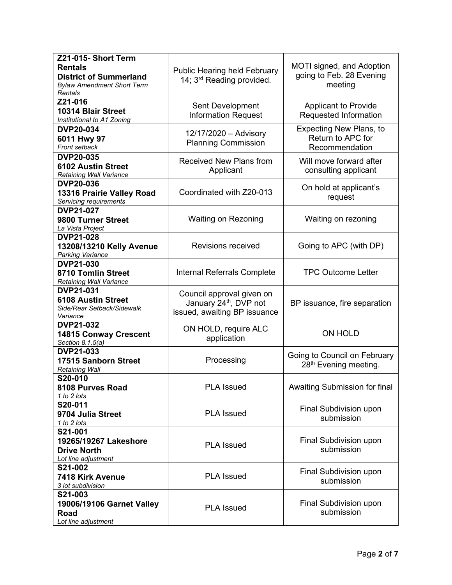| Z21-015- Short Term<br><b>Rentals</b><br><b>District of Summerland</b><br><b>Bylaw Amendment Short Term</b><br>Rentals | <b>Public Hearing held February</b><br>14; 3 <sup>rd</sup> Reading provided.                    | MOTI signed, and Adoption<br>going to Feb. 28 Evening<br>meeting      |  |  |
|------------------------------------------------------------------------------------------------------------------------|-------------------------------------------------------------------------------------------------|-----------------------------------------------------------------------|--|--|
| Z21-016<br>10314 Blair Street<br>Institutional to A1 Zoning                                                            | Sent Development<br><b>Information Request</b>                                                  | <b>Applicant to Provide</b><br>Requested Information                  |  |  |
| <b>DVP20-034</b><br>6011 Hwy 97<br>Front setback                                                                       | 12/17/2020 - Advisory<br><b>Planning Commission</b>                                             | <b>Expecting New Plans, to</b><br>Return to APC for<br>Recommendation |  |  |
| <b>DVP20-035</b><br><b>6102 Austin Street</b><br>Retaining Wall Variance                                               | <b>Received New Plans from</b><br>Applicant                                                     | Will move forward after<br>consulting applicant                       |  |  |
| <b>DVP20-036</b><br>13316 Prairie Valley Road<br>Servicing requirements                                                | Coordinated with Z20-013                                                                        | On hold at applicant's<br>request                                     |  |  |
| <b>DVP21-027</b><br>9800 Turner Street<br>La Vista Project                                                             | Waiting on Rezoning                                                                             | Waiting on rezoning                                                   |  |  |
| <b>DVP21-028</b><br>13208/13210 Kelly Avenue<br><b>Parking Variance</b>                                                | <b>Revisions received</b>                                                                       | Going to APC (with DP)                                                |  |  |
| <b>DVP21-030</b><br>8710 Tomlin Street<br>Retaining Wall Variance                                                      | Internal Referrals Complete                                                                     | <b>TPC Outcome Letter</b>                                             |  |  |
| <b>DVP21-031</b><br><b>6108 Austin Street</b><br>Side/Rear Setback/Sidewalk<br>Variance                                | Council approval given on<br>January 24 <sup>th</sup> , DVP not<br>issued, awaiting BP issuance | BP issuance, fire separation                                          |  |  |
| <b>DVP21-032</b><br><b>14815 Conway Crescent</b><br>Section 8.1.5(a)                                                   | ON HOLD, require ALC<br>application                                                             | ON HOLD                                                               |  |  |
| <b>DVP21-033</b><br>17515 Sanborn Street<br><b>Retaining Wall</b>                                                      | Processing                                                                                      | Going to Council on February<br>28 <sup>th</sup> Evening meeting.     |  |  |
| S20-010<br>8108 Purves Road<br>1 to 2 lots                                                                             | <b>PLA Issued</b>                                                                               | Awaiting Submission for final                                         |  |  |
| S20-011<br>9704 Julia Street<br>1 to 2 lots                                                                            | <b>PLA Issued</b>                                                                               | Final Subdivision upon<br>submission                                  |  |  |
| S21-001<br>19265/19267 Lakeshore<br><b>Drive North</b><br>Lot line adjustment                                          | <b>PLA Issued</b>                                                                               | Final Subdivision upon<br>submission                                  |  |  |
| S21-002<br>7418 Kirk Avenue<br>3 lot subdivision                                                                       | <b>PLA Issued</b>                                                                               | Final Subdivision upon<br>submission                                  |  |  |
| S21-003<br>19006/19106 Garnet Valley<br><b>Road</b><br>Lot line adjustment                                             | <b>PLA Issued</b>                                                                               | Final Subdivision upon<br>submission                                  |  |  |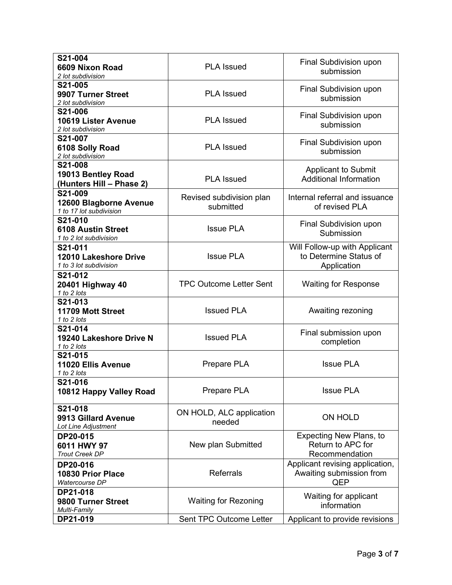| S21-004<br>6609 Nixon Road<br>2 lot subdivision                | <b>PLA Issued</b>                     | Final Subdivision upon<br>submission                                   |  |  |
|----------------------------------------------------------------|---------------------------------------|------------------------------------------------------------------------|--|--|
| S21-005<br>9907 Turner Street<br>2 lot subdivision             | <b>PLA Issued</b>                     | Final Subdivision upon<br>submission                                   |  |  |
| S21-006<br>10619 Lister Avenue<br>2 lot subdivision            | <b>PLA Issued</b>                     | Final Subdivision upon<br>submission                                   |  |  |
| S21-007<br>6108 Solly Road<br>2 lot subdivision                | <b>PLA Issued</b>                     | Final Subdivision upon<br>submission                                   |  |  |
| S21-008<br>19013 Bentley Road<br>(Hunters Hill - Phase 2)      | <b>PLA Issued</b>                     | <b>Applicant to Submit</b><br><b>Additional Information</b>            |  |  |
| S21-009<br>12600 Blagborne Avenue<br>1 to 17 lot subdivision   | Revised subdivision plan<br>submitted | Internal referral and issuance<br>of revised PLA                       |  |  |
| S21-010<br><b>6108 Austin Street</b><br>1 to 2 lot subdivision | <b>Issue PLA</b>                      | Final Subdivision upon<br>Submission                                   |  |  |
| S21-011<br>12010 Lakeshore Drive<br>1 to 3 lot subdivision     | <b>Issue PLA</b>                      | Will Follow-up with Applicant<br>to Determine Status of<br>Application |  |  |
| S21-012<br>20401 Highway 40<br>1 to 2 lots                     | <b>TPC Outcome Letter Sent</b>        | <b>Waiting for Response</b>                                            |  |  |
| S21-013<br>11709 Mott Street<br>1 to 2 lots                    | <b>Issued PLA</b>                     | Awaiting rezoning                                                      |  |  |
| S21-014<br>19240 Lakeshore Drive N<br>1 to 2 lots              | <b>Issued PLA</b>                     | Final submission upon<br>completion                                    |  |  |
| S21-015<br>11020 Ellis Avenue<br>1 to 2 lots                   | Prepare PLA                           | <b>Issue PLA</b>                                                       |  |  |
| S21-016<br>10812 Happy Valley Road                             | Prepare PLA                           | <b>Issue PLA</b>                                                       |  |  |
| S21-018<br>9913 Gillard Avenue<br>Lot Line Adjustment          | ON HOLD, ALC application<br>needed    | ON HOLD                                                                |  |  |
| DP20-015<br>6011 HWY 97<br><b>Trout Creek DP</b>               | New plan Submitted                    | <b>Expecting New Plans, to</b><br>Return to APC for<br>Recommendation  |  |  |
| DP20-016<br>10830 Prior Place<br>Watercourse DP                | <b>Referrals</b>                      | Applicant revising application,<br>Awaiting submission from<br>QEP     |  |  |
| DP21-018<br>9800 Turner Street<br>Multi-Family                 | <b>Waiting for Rezoning</b>           | Waiting for applicant<br>information                                   |  |  |
| DP21-019                                                       | Sent TPC Outcome Letter               | Applicant to provide revisions                                         |  |  |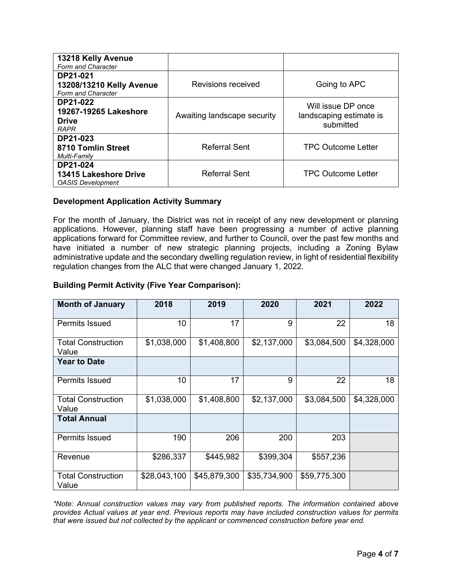| 13218 Kelly Avenue<br>Form and Character                                    |                             |                                                            |
|-----------------------------------------------------------------------------|-----------------------------|------------------------------------------------------------|
| DP21-021<br>13208/13210 Kelly Avenue<br>Form and Character                  | Revisions received          | Going to APC                                               |
| <b>DP21-022</b><br>19267-19265 Lakeshore<br><b>Drive</b><br><b>RAPR</b>     | Awaiting landscape security | Will issue DP once<br>landscaping estimate is<br>submitted |
| DP21-023<br>8710 Tomlin Street<br>Multi-Family                              | <b>Referral Sent</b>        | <b>TPC Outcome Letter</b>                                  |
| <b>DP21-024</b><br><b>13415 Lakeshore Drive</b><br><b>OASIS Development</b> | <b>Referral Sent</b>        | <b>TPC Outcome Letter</b>                                  |

## **Development Application Activity Summary**

For the month of January, the District was not in receipt of any new development or planning applications. However, planning staff have been progressing a number of active planning applications forward for Committee review, and further to Council, over the past few months and have initiated a number of new strategic planning projects, including a Zoning Bylaw administrative update and the secondary dwelling regulation review, in light of residential flexibility regulation changes from the ALC that were changed January 1, 2022.

## **Building Permit Activity (Five Year Comparison):**

| <b>Month of January</b>            | 2018         | 2019         | 2020         | 2021         | 2022        |
|------------------------------------|--------------|--------------|--------------|--------------|-------------|
| <b>Permits Issued</b>              | 10           | 17           | 9            | 22           | 18          |
| <b>Total Construction</b><br>Value | \$1,038,000  | \$1,408,800  | \$2,137,000  | \$3,084,500  | \$4,328,000 |
| <b>Year to Date</b>                |              |              |              |              |             |
| <b>Permits Issued</b>              | 10           | 17           | 9            | 22           | 18          |
| <b>Total Construction</b><br>Value | \$1,038,000  | \$1,408,800  | \$2,137,000  | \$3,084,500  | \$4,328,000 |
| <b>Total Annual</b>                |              |              |              |              |             |
| <b>Permits Issued</b>              | 190          | 206          | 200          | 203          |             |
| Revenue                            | \$286,337    | \$445,982    | \$399,304    | \$557,236    |             |
| <b>Total Construction</b><br>Value | \$28,043,100 | \$45,879,300 | \$35,734,900 | \$59,775,300 |             |

*\*Note: Annual construction values may vary from published reports. The information contained above provides Actual values at year end. Previous reports may have included construction values for permits that were issued but not collected by the applicant or commenced construction before year end.*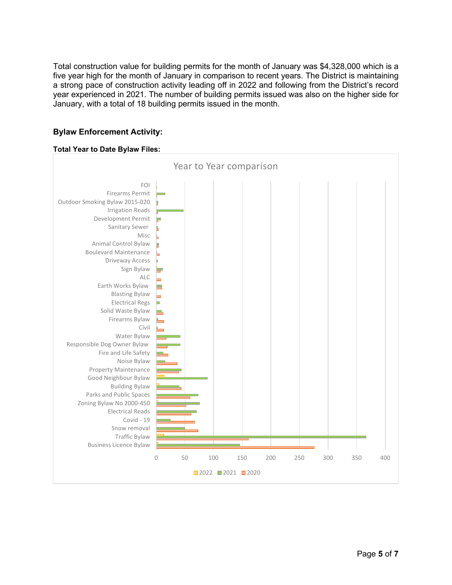Total construction value for building permits for the month of January was \$4,328,000 which is a five year high for the month of January in comparison to recent years. The District is maintaining a strong pace of construction activity leading off in 2022 and following from the District's record year experienced in 2021. The number of building permits issued was also on the higher side for January, with a total of 18 building permits issued in the month.

# **Bylaw Enforcement Activity:**

#### **Total Year to Date Bylaw Files:**

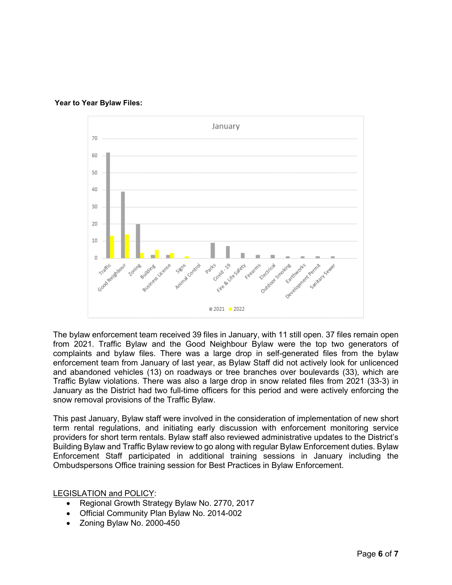



The bylaw enforcement team received 39 files in January, with 11 still open. 37 files remain open from 2021. Traffic Bylaw and the Good Neighbour Bylaw were the top two generators of complaints and bylaw files. There was a large drop in self-generated files from the bylaw enforcement team from January of last year, as Bylaw Staff did not actively look for unlicenced and abandoned vehicles (13) on roadways or tree branches over boulevards (33), which are Traffic Bylaw violations. There was also a large drop in snow related files from 2021 (33-3) in January as the District had two full-time officers for this period and were actively enforcing the snow removal provisions of the Traffic Bylaw.

This past January, Bylaw staff were involved in the consideration of implementation of new short term rental regulations, and initiating early discussion with enforcement monitoring service providers for short term rentals. Bylaw staff also reviewed administrative updates to the District's Building Bylaw and Traffic Bylaw review to go along with regular Bylaw Enforcement duties. Bylaw Enforcement Staff participated in additional training sessions in January including the Ombudspersons Office training session for Best Practices in Bylaw Enforcement.

LEGISLATION and POLICY:

- Regional Growth Strategy Bylaw No. 2770, 2017
- Official Community Plan Bylaw No. 2014-002
- Zoning Bylaw No. 2000-450